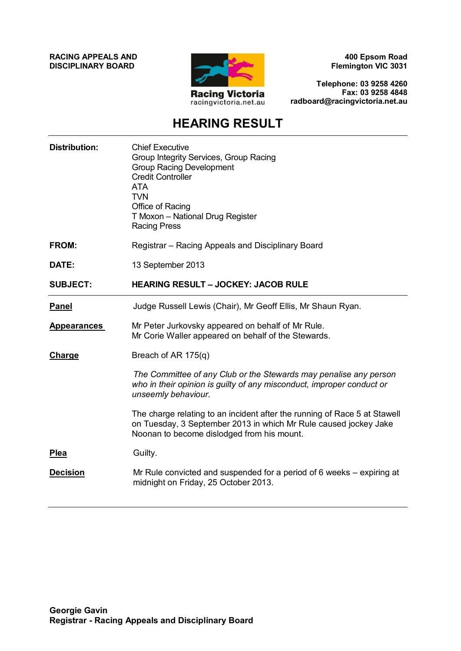**RACING APPEALS AND DISCIPLINARY BOARD**



**400 Epsom Road Flemington VIC 3031**

**Telephone: 03 9258 4260 Fax: 03 9258 4848 radboard@racingvictoria.net.au**

# **HEARING RESULT**

| <b>Distribution:</b> | <b>Chief Executive</b><br>Group Integrity Services, Group Racing<br><b>Group Racing Development</b><br><b>Credit Controller</b><br><b>ATA</b><br><b>TVN</b><br>Office of Racing<br>T Moxon - National Drug Register<br><b>Racing Press</b> |
|----------------------|--------------------------------------------------------------------------------------------------------------------------------------------------------------------------------------------------------------------------------------------|
| <b>FROM:</b>         | Registrar – Racing Appeals and Disciplinary Board                                                                                                                                                                                          |
| DATE:                | 13 September 2013                                                                                                                                                                                                                          |
| <b>SUBJECT:</b>      | <b>HEARING RESULT - JOCKEY: JACOB RULE</b>                                                                                                                                                                                                 |
| <b>Panel</b>         | Judge Russell Lewis (Chair), Mr Geoff Ellis, Mr Shaun Ryan.                                                                                                                                                                                |
| <b>Appearances</b>   | Mr Peter Jurkovsky appeared on behalf of Mr Rule.<br>Mr Corie Waller appeared on behalf of the Stewards.                                                                                                                                   |
| Charge               | Breach of AR 175(q)                                                                                                                                                                                                                        |
|                      | The Committee of any Club or the Stewards may penalise any person<br>who in their opinion is guilty of any misconduct, improper conduct or<br>unseemly behaviour.                                                                          |
|                      | The charge relating to an incident after the running of Race 5 at Stawell<br>on Tuesday, 3 September 2013 in which Mr Rule caused jockey Jake<br>Noonan to become dislodged from his mount.                                                |
| <b>Plea</b>          | Guilty.                                                                                                                                                                                                                                    |
| <b>Decision</b>      | Mr Rule convicted and suspended for a period of 6 weeks – expiring at<br>midnight on Friday, 25 October 2013.                                                                                                                              |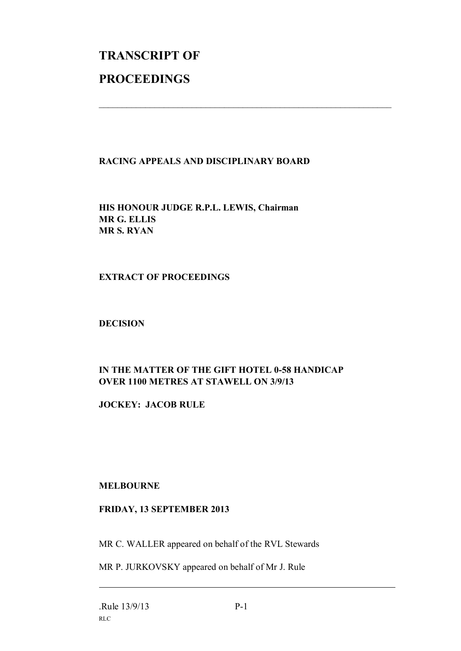# **TRANSCRIPT OF PROCEEDINGS**

### **RACING APPEALS AND DISCIPLINARY BOARD**

 $\mathcal{L}_\text{max}$  , and the contribution of the contribution of the contribution of the contribution of the contribution of the contribution of the contribution of the contribution of the contribution of the contribution of t

**HIS HONOUR JUDGE R.P.L. LEWIS, Chairman MR G. ELLIS MR S. RYAN**

#### **EXTRACT OF PROCEEDINGS**

#### **DECISION**

# **IN THE MATTER OF THE GIFT HOTEL 0-58 HANDICAP OVER 1100 METRES AT STAWELL ON 3/9/13**

**JOCKEY: JACOB RULE**

## **MELBOURNE**

#### **FRIDAY, 13 SEPTEMBER 2013**

MR C. WALLER appeared on behalf of the RVL Stewards

MR P. JURKOVSKY appeared on behalf of Mr J. Rule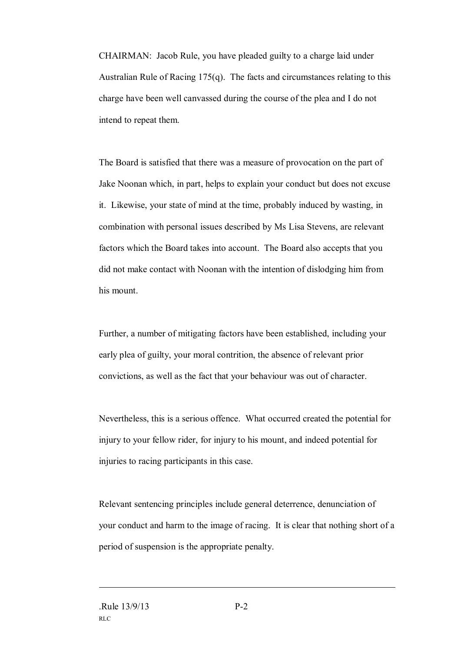CHAIRMAN: Jacob Rule, you have pleaded guilty to a charge laid under Australian Rule of Racing 175(q). The facts and circumstances relating to this charge have been well canvassed during the course of the plea and I do not intend to repeat them.

The Board is satisfied that there was a measure of provocation on the part of Jake Noonan which, in part, helps to explain your conduct but does not excuse it. Likewise, your state of mind at the time, probably induced by wasting, in combination with personal issues described by Ms Lisa Stevens, are relevant factors which the Board takes into account. The Board also accepts that you did not make contact with Noonan with the intention of dislodging him from his mount.

Further, a number of mitigating factors have been established, including your early plea of guilty, your moral contrition, the absence of relevant prior convictions, as well as the fact that your behaviour was out of character.

Nevertheless, this is a serious offence. What occurred created the potential for injury to your fellow rider, for injury to his mount, and indeed potential for injuries to racing participants in this case.

Relevant sentencing principles include general deterrence, denunciation of your conduct and harm to the image of racing. It is clear that nothing short of a period of suspension is the appropriate penalty.